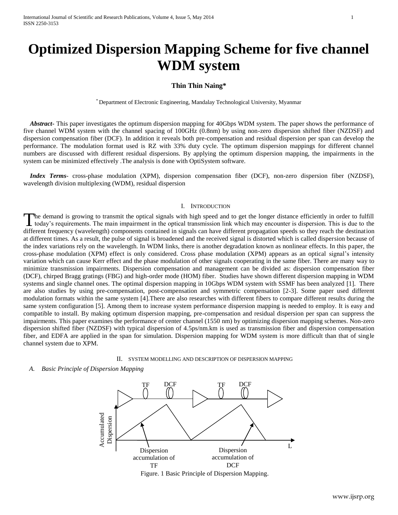# **Optimized Dispersion Mapping Scheme for five channel WDM system**

## **Thin Thin Naing\***

\* Department of Electronic Engineering, Mandalay Technological University, Myanmar

 *Abstract***-** This paper investigates the optimum dispersion mapping for 40Gbps WDM system. The paper shows the performance of five channel WDM system with the channel spacing of 100GHz (0.8nm) by using non-zero dispersion shifted fiber (NZDSF) and dispersion compensation fiber (DCF). In addition it reveals both pre-compensation and residual dispersion per span can develop the performance. The modulation format used is RZ with 33% duty cycle. The optimum dispersion mappings for different channel numbers are discussed with different residual dispersions. By applying the optimum dispersion mapping, the impairments in the system can be minimized effectively .The analysis is done with OptiSystem software.

 *Index Terms*- cross-phase modulation (XPM), dispersion compensation fiber (DCF), non-zero dispersion fiber (NZDSF), wavelength division multiplexing (WDM), residual dispersion

## I. INTRODUCTION

he demand is growing to transmit the optical signals with high speed and to get the longer distance efficiently in order to fulfill today's requirements. The main impairment in the optical transmission link which may encounter is dispersion. This is due to the different frequency (wavelength) components contained in signals can have different propagation speeds so they reach the destination at different times. As a result, the pulse of signal is broadened and the received signal is distorted which is called dispersion because of the index variations rely on the wavelength. In WDM links, there is another degradation known as nonlinear effects. In this paper, the cross-phase modulation (XPM) effect is only considered. Cross phase modulation (XPM) appears as an optical signal's intensity variation which can cause Kerr effect and the phase modulation of other signals cooperating in the same fiber. There are many way to minimize transmission impairments. Dispersion compensation and management can be divided as: dispersion compensation fiber (DCF), chirped Bragg gratings (FBG) and high-order mode (HOM) fiber. Studies have shown different dispersion mapping in WDM systems and single channel ones. The optimal dispersion mapping in 10Gbps WDM system with SSMF has been analyzed [1]. There are also studies by using pre-compensation, post-compensation and symmetric compensation [2-3]. Some paper used different modulation formats within the same system [4].There are also researches with different fibers to compare different results during the same system configuration [5]. Among them to increase system performance dispersion mapping is needed to employ. It is easy and compatible to install. By making optimum dispersion mapping, pre-compensation and residual dispersion per span can suppress the impairments. This paper examines the performance of center channel (1550 nm) by optimizing dispersion mapping schemes. Non-zero dispersion shifted fiber (NZDSF) with typical dispersion of 4.5ps/nm.km is used as transmission fiber and dispersion compensation fiber, and EDFA are applied in the span for simulation. Dispersion mapping for WDM system is more difficult than that of single channel system due to XPM. T

### II. SYSTEM MODELLING AND DESCRIPTION OF DISPERSION MAPPING

## *A. Basic Principle of Dispersion Mapping*

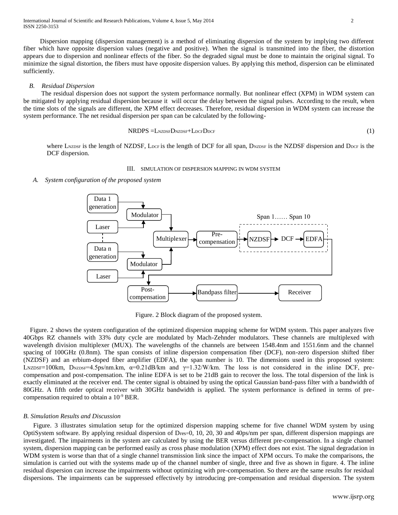Dispersion mapping (dispersion management) is a method of eliminating dispersion of the system by implying two different fiber which have opposite dispersion values (negative and positive). When the signal is transmitted into the fiber, the distortion appears due to dispersion and nonlinear effects of the fiber. So the degraded signal must be done to maintain the original signal. To minimize the signal distortion, the fibers must have opposite dispersion values. By applying this method, dispersion can be eliminated sufficiently.

## *B. Residual Dispersion*

 The residual dispersion does not support the system performance normally. But nonlinear effect (XPM) in WDM system can be mitigated by applying residual dispersion because it will occur the delay between the signal pulses. According to the result, when the time slots of the signals are different, the XPM effect decreases. Therefore, residual dispersion in WDM system can increase the system performance. The net residual dispersion per span can be calculated by the following-

$$
NRDPS = L_{NZDSF}D_{NZDSF} + L_{DCF}D_{DCF}
$$
 (1)

where LNZDSF is the length of NZDSF, LDCF is the length of DCF for all span, DNZDSF is the NZDSF dispersion and DDCF is the DCF dispersion.

## III. SIMULATION OF DISPERSION MAPPING IN WDM SYSTEM

 *A. System configuration of the proposed system*



Figure. 2 Block diagram of the proposed system.

 Figure. 2 shows the system configuration of the optimized dispersion mapping scheme for WDM system. This paper analyzes five 40Gbps RZ channels with 33% duty cycle are modulated by Mach-Zehnder modulators. These channels are multiplexed with wavelength division multiplexer (MUX). The wavelengths of the channels are between 1548.4nm and 1551.6nm and the channel spacing of 100GHz (0.8nm). The span consists of inline dispersion compensation fiber (DCF), non-zero dispersion shifted fiber (NZDSF) and an erbium-doped fiber amplifier (EDFA), the span number is 10. The dimensions used in this proposed system: LNZDSF=100km, DNZDSF=4.5ps/nm.km,  $\alpha$ =0.21dB/km and  $\gamma$ =1.32/W/km. The loss is not considered in the inline DCF, precompensation and post-compensation. The inline EDFA is set to be 21dB gain to recover the loss. The total dispersion of the link is exactly eliminated at the receiver end. The center signal is obtained by using the optical Gaussian band-pass filter with a bandwidth of 80GHz. A fifth order optical receiver with 30GHz bandwidth is applied. The system performance is defined in terms of precompensation required to obtain a 10-9 BER.

## *B. Simulation Results and Discussion*

 Figure. 3 illustrates simulation setup for the optimized dispersion mapping scheme for five channel WDM system by using OptiSystem software. By applying residual dispersion of Dres=0, 10, 20, 30 and 40ps/nm per span, different dispersion mappings are investigated. The impairments in the system are calculated by using the BER versus different pre-compensation. In a single channel system, dispersion mapping can be performed easily as cross phase modulation (XPM) effect does not exist. The signal degradation in WDM system is worse than that of a single channel transmission link since the impact of XPM occurs. To make the comparisons, the simulation is carried out with the systems made up of the channel number of single, three and five as shown in figure. 4. The inline residual dispersion can increase the impairments without optimizing with pre-compensation. So there are the same results for residual dispersions. The impairments can be suppressed effectively by introducing pre-compensation and residual dispersion. The system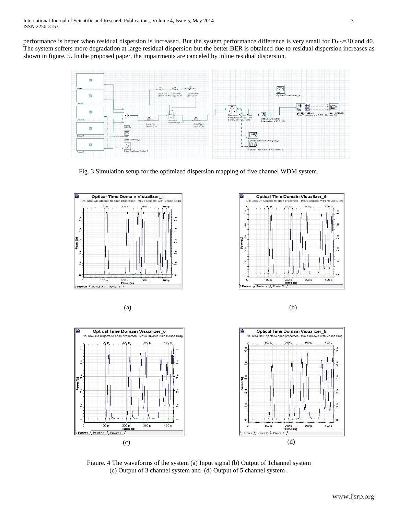performance is better when residual dispersion is increased. But the system performance difference is very small for Dres=30 and 40. The system suffers more degradation at large residual dispersion but the better BER is obtained due to residual dispersion increases as shown in figure. 5. In the proposed paper, the impairments are canceled by inline residual dispersion.













Figure. 4 The waveforms of the system (a) Input signal (b) Output of 1channel system (c) Output of 3 channel system and (d) Output of 5 channel system .